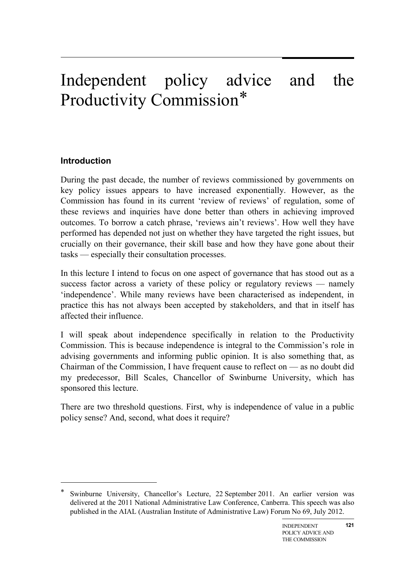# Independent policy advice and the Productivity Commission[\\*](#page-0-0)

# **Introduction**

-

During the past decade, the number of reviews commissioned by governments on key policy issues appears to have increased exponentially. However, as the Commission has found in its current 'review of reviews' of regulation, some of these reviews and inquiries have done better than others in achieving improved outcomes. To borrow a catch phrase, 'reviews ain't reviews'. How well they have performed has depended not just on whether they have targeted the right issues, but crucially on their governance, their skill base and how they have gone about their tasks — especially their consultation processes.

In this lecture I intend to focus on one aspect of governance that has stood out as a success factor across a variety of these policy or regulatory reviews — namely 'independence'. While many reviews have been characterised as independent, in practice this has not always been accepted by stakeholders, and that in itself has affected their influence.

I will speak about independence specifically in relation to the Productivity Commission. This is because independence is integral to the Commission's role in advising governments and informing public opinion. It is also something that, as Chairman of the Commission, I have frequent cause to reflect on — as no doubt did my predecessor, Bill Scales, Chancellor of Swinburne University, which has sponsored this lecture.

There are two threshold questions. First, why is independence of value in a public policy sense? And, second, what does it require?

<span id="page-0-0"></span>Swinburne University, Chancellor's Lecture, 22 September 2011. An earlier version was delivered at the 2011 National Administrative Law Conference, Canberra. This speech was also published in the AIAL (Australian Institute of Administrative Law) Forum No 69, July 2012.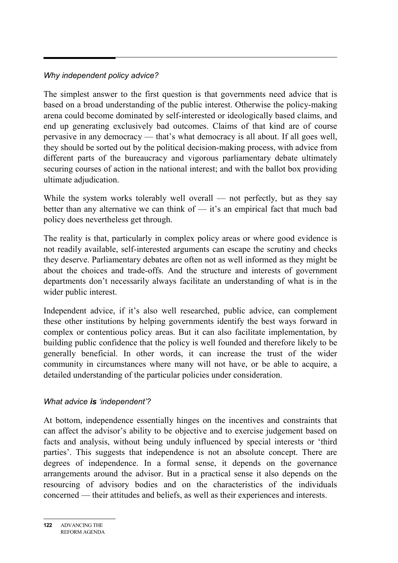# *Why independent policy advice?*

The simplest answer to the first question is that governments need advice that is based on a broad understanding of the public interest. Otherwise the policy-making arena could become dominated by self-interested or ideologically based claims, and end up generating exclusively bad outcomes. Claims of that kind are of course pervasive in any democracy — that's what democracy is all about. If all goes well, they should be sorted out by the political decision-making process, with advice from different parts of the bureaucracy and vigorous parliamentary debate ultimately securing courses of action in the national interest; and with the ballot box providing ultimate adjudication.

While the system works tolerably well overall — not perfectly, but as they say better than any alternative we can think of — it's an empirical fact that much bad policy does nevertheless get through.

The reality is that, particularly in complex policy areas or where good evidence is not readily available, self-interested arguments can escape the scrutiny and checks they deserve. Parliamentary debates are often not as well informed as they might be about the choices and trade-offs. And the structure and interests of government departments don't necessarily always facilitate an understanding of what is in the wider public interest.

Independent advice, if it's also well researched, public advice, can complement these other institutions by helping governments identify the best ways forward in complex or contentious policy areas. But it can also facilitate implementation, by building public confidence that the policy is well founded and therefore likely to be generally beneficial. In other words, it can increase the trust of the wider community in circumstances where many will not have, or be able to acquire, a detailed understanding of the particular policies under consideration.

# *What advice is 'independent'?*

At bottom, independence essentially hinges on the incentives and constraints that can affect the advisor's ability to be objective and to exercise judgement based on facts and analysis, without being unduly influenced by special interests or 'third parties'. This suggests that independence is not an absolute concept. There are degrees of independence. In a formal sense, it depends on the governance arrangements around the advisor. But in a practical sense it also depends on the resourcing of advisory bodies and on the characteristics of the individuals concerned — their attitudes and beliefs, as well as their experiences and interests.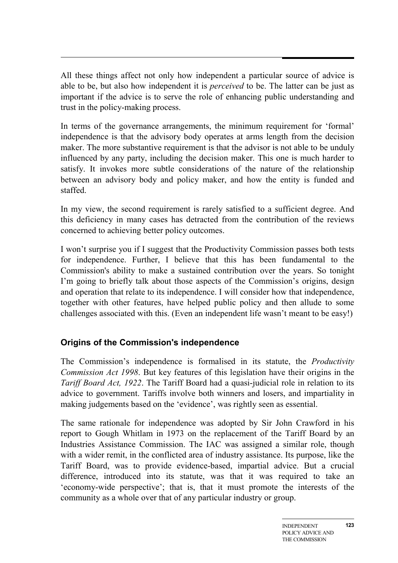All these things affect not only how independent a particular source of advice is able to be, but also how independent it is *perceived* to be. The latter can be just as important if the advice is to serve the role of enhancing public understanding and trust in the policy-making process.

In terms of the governance arrangements, the minimum requirement for 'formal' independence is that the advisory body operates at arms length from the decision maker. The more substantive requirement is that the advisor is not able to be unduly influenced by any party, including the decision maker. This one is much harder to satisfy. It invokes more subtle considerations of the nature of the relationship between an advisory body and policy maker, and how the entity is funded and staffed.

In my view, the second requirement is rarely satisfied to a sufficient degree. And this deficiency in many cases has detracted from the contribution of the reviews concerned to achieving better policy outcomes.

I won't surprise you if I suggest that the Productivity Commission passes both tests for independence. Further, I believe that this has been fundamental to the Commission's ability to make a sustained contribution over the years. So tonight I'm going to briefly talk about those aspects of the Commission's origins, design and operation that relate to its independence. I will consider how that independence, together with other features, have helped public policy and then allude to some challenges associated with this. (Even an independent life wasn't meant to be easy!)

# **Origins of the Commission's independence**

The Commission's independence is formalised in its statute, the *Productivity Commission Act 1998*. But key features of this legislation have their origins in the *Tariff Board Act, 1922*. The Tariff Board had a quasi-judicial role in relation to its advice to government. Tariffs involve both winners and losers, and impartiality in making judgements based on the 'evidence', was rightly seen as essential.

The same rationale for independence was adopted by Sir John Crawford in his report to Gough Whitlam in 1973 on the replacement of the Tariff Board by an Industries Assistance Commission. The IAC was assigned a similar role, though with a wider remit, in the conflicted area of industry assistance. Its purpose, like the Tariff Board, was to provide evidence-based, impartial advice. But a crucial difference, introduced into its statute, was that it was required to take an 'economy-wide perspective'; that is, that it must promote the interests of the community as a whole over that of any particular industry or group.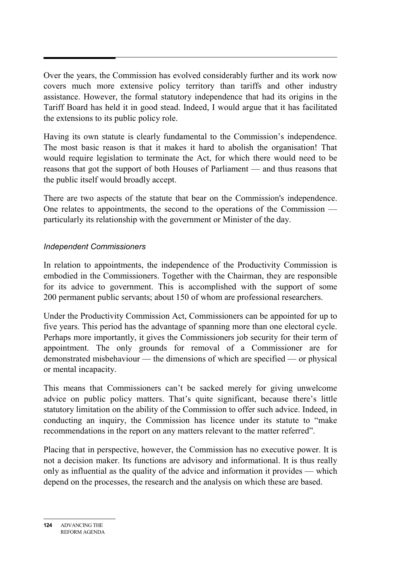Over the years, the Commission has evolved considerably further and its work now covers much more extensive policy territory than tariffs and other industry assistance. However, the formal statutory independence that had its origins in the Tariff Board has held it in good stead. Indeed, I would argue that it has facilitated the extensions to its public policy role.

Having its own statute is clearly fundamental to the Commission's independence. The most basic reason is that it makes it hard to abolish the organisation! That would require legislation to terminate the Act, for which there would need to be reasons that got the support of both Houses of Parliament — and thus reasons that the public itself would broadly accept.

There are two aspects of the statute that bear on the Commission's independence. One relates to appointments, the second to the operations of the Commission particularly its relationship with the government or Minister of the day.

# *Independent Commissioners*

In relation to appointments, the independence of the Productivity Commission is embodied in the Commissioners. Together with the Chairman, they are responsible for its advice to government. This is accomplished with the support of some 200 permanent public servants; about 150 of whom are professional researchers.

Under the Productivity Commission Act, Commissioners can be appointed for up to five years. This period has the advantage of spanning more than one electoral cycle. Perhaps more importantly, it gives the Commissioners job security for their term of appointment. The only grounds for removal of a Commissioner are for demonstrated misbehaviour — the dimensions of which are specified — or physical or mental incapacity.

This means that Commissioners can't be sacked merely for giving unwelcome advice on public policy matters. That's quite significant, because there's little statutory limitation on the ability of the Commission to offer such advice. Indeed, in conducting an inquiry, the Commission has licence under its statute to "make recommendations in the report on any matters relevant to the matter referred".

Placing that in perspective, however, the Commission has no executive power. It is not a decision maker. Its functions are advisory and informational. It is thus really only as influential as the quality of the advice and information it provides — which depend on the processes, the research and the analysis on which these are based.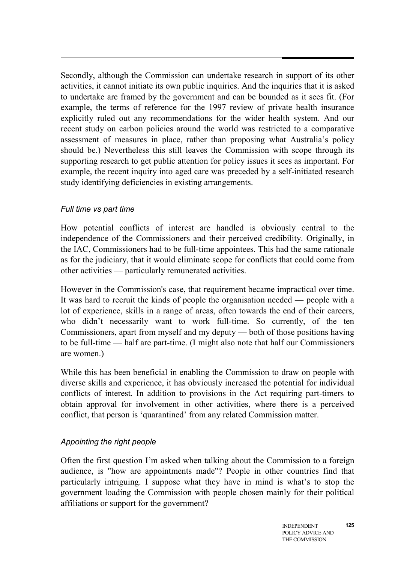Secondly, although the Commission can undertake research in support of its other activities, it cannot initiate its own public inquiries. And the inquiries that it is asked to undertake are framed by the government and can be bounded as it sees fit. (For example, the terms of reference for the 1997 review of private health insurance explicitly ruled out any recommendations for the wider health system. And our recent study on carbon policies around the world was restricted to a comparative assessment of measures in place, rather than proposing what Australia's policy should be.) Nevertheless this still leaves the Commission with scope through its supporting research to get public attention for policy issues it sees as important. For example, the recent inquiry into aged care was preceded by a self-initiated research study identifying deficiencies in existing arrangements.

# *Full time vs part time*

How potential conflicts of interest are handled is obviously central to the independence of the Commissioners and their perceived credibility. Originally, in the IAC, Commissioners had to be full-time appointees. This had the same rationale as for the judiciary, that it would eliminate scope for conflicts that could come from other activities — particularly remunerated activities.

However in the Commission's case, that requirement became impractical over time. It was hard to recruit the kinds of people the organisation needed — people with a lot of experience, skills in a range of areas, often towards the end of their careers, who didn't necessarily want to work full-time. So currently, of the ten Commissioners, apart from myself and my deputy — both of those positions having to be full-time — half are part-time. (I might also note that half our Commissioners are women.)

While this has been beneficial in enabling the Commission to draw on people with diverse skills and experience, it has obviously increased the potential for individual conflicts of interest. In addition to provisions in the Act requiring part-timers to obtain approval for involvement in other activities, where there is a perceived conflict, that person is 'quarantined' from any related Commission matter.

# *Appointing the right people*

Often the first question I'm asked when talking about the Commission to a foreign audience, is "how are appointments made"? People in other countries find that particularly intriguing. I suppose what they have in mind is what's to stop the government loading the Commission with people chosen mainly for their political affiliations or support for the government?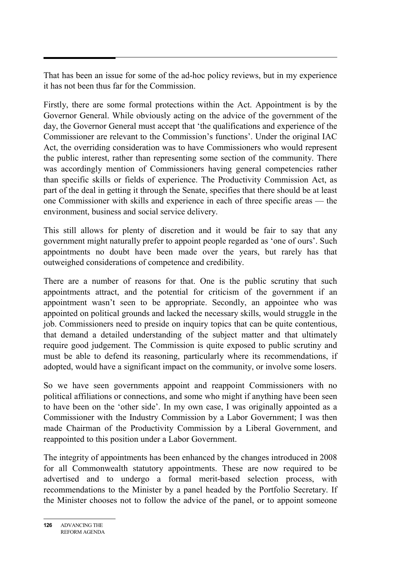That has been an issue for some of the ad-hoc policy reviews, but in my experience it has not been thus far for the Commission.

Firstly, there are some formal protections within the Act. Appointment is by the Governor General. While obviously acting on the advice of the government of the day, the Governor General must accept that 'the qualifications and experience of the Commissioner are relevant to the Commission's functions'. Under the original IAC Act, the overriding consideration was to have Commissioners who would represent the public interest, rather than representing some section of the community. There was accordingly mention of Commissioners having general competencies rather than specific skills or fields of experience. The Productivity Commission Act, as part of the deal in getting it through the Senate, specifies that there should be at least one Commissioner with skills and experience in each of three specific areas — the environment, business and social service delivery.

This still allows for plenty of discretion and it would be fair to say that any government might naturally prefer to appoint people regarded as 'one of ours'. Such appointments no doubt have been made over the years, but rarely has that outweighed considerations of competence and credibility.

There are a number of reasons for that. One is the public scrutiny that such appointments attract, and the potential for criticism of the government if an appointment wasn't seen to be appropriate. Secondly, an appointee who was appointed on political grounds and lacked the necessary skills, would struggle in the job. Commissioners need to preside on inquiry topics that can be quite contentious, that demand a detailed understanding of the subject matter and that ultimately require good judgement. The Commission is quite exposed to public scrutiny and must be able to defend its reasoning, particularly where its recommendations, if adopted, would have a significant impact on the community, or involve some losers.

So we have seen governments appoint and reappoint Commissioners with no political affiliations or connections, and some who might if anything have been seen to have been on the 'other side'. In my own case, I was originally appointed as a Commissioner with the Industry Commission by a Labor Government; I was then made Chairman of the Productivity Commission by a Liberal Government, and reappointed to this position under a Labor Government.

The integrity of appointments has been enhanced by the changes introduced in 2008 for all Commonwealth statutory appointments. These are now required to be advertised and to undergo a formal merit-based selection process, with recommendations to the Minister by a panel headed by the Portfolio Secretary. If the Minister chooses not to follow the advice of the panel, or to appoint someone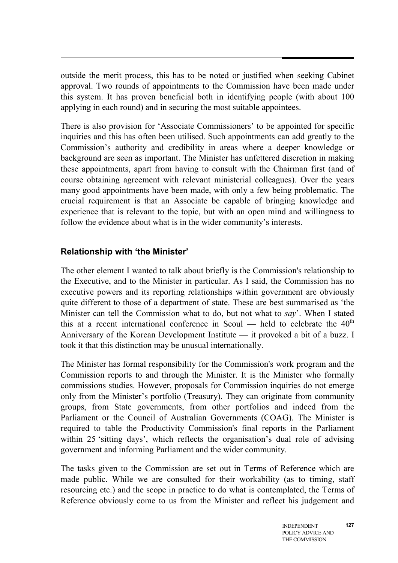outside the merit process, this has to be noted or justified when seeking Cabinet approval. Two rounds of appointments to the Commission have been made under this system. It has proven beneficial both in identifying people (with about 100 applying in each round) and in securing the most suitable appointees.

There is also provision for 'Associate Commissioners' to be appointed for specific inquiries and this has often been utilised. Such appointments can add greatly to the Commission's authority and credibility in areas where a deeper knowledge or background are seen as important. The Minister has unfettered discretion in making these appointments, apart from having to consult with the Chairman first (and of course obtaining agreement with relevant ministerial colleagues). Over the years many good appointments have been made, with only a few being problematic. The crucial requirement is that an Associate be capable of bringing knowledge and experience that is relevant to the topic, but with an open mind and willingness to follow the evidence about what is in the wider community's interests.

# **Relationship with 'the Minister'**

The other element I wanted to talk about briefly is the Commission's relationship to the Executive, and to the Minister in particular. As I said, the Commission has no executive powers and its reporting relationships within government are obviously quite different to those of a department of state. These are best summarised as 'the Minister can tell the Commission what to do, but not what to *say*'. When I stated this at a recent international conference in Seoul — held to celebrate the  $40<sup>th</sup>$ Anniversary of the Korean Development Institute — it provoked a bit of a buzz. I took it that this distinction may be unusual internationally.

The Minister has formal responsibility for the Commission's work program and the Commission reports to and through the Minister. It is the Minister who formally commissions studies. However, proposals for Commission inquiries do not emerge only from the Minister's portfolio (Treasury). They can originate from community groups, from State governments, from other portfolios and indeed from the Parliament or the Council of Australian Governments (COAG). The Minister is required to table the Productivity Commission's final reports in the Parliament within 25 'sitting days', which reflects the organisation's dual role of advising government and informing Parliament and the wider community.

The tasks given to the Commission are set out in Terms of Reference which are made public. While we are consulted for their workability (as to timing, staff resourcing etc.) and the scope in practice to do what is contemplated, the Terms of Reference obviously come to us from the Minister and reflect his judgement and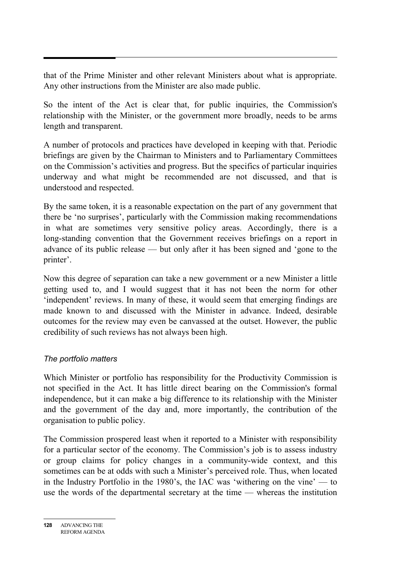that of the Prime Minister and other relevant Ministers about what is appropriate. Any other instructions from the Minister are also made public.

So the intent of the Act is clear that, for public inquiries, the Commission's relationship with the Minister, or the government more broadly, needs to be arms length and transparent.

A number of protocols and practices have developed in keeping with that. Periodic briefings are given by the Chairman to Ministers and to Parliamentary Committees on the Commission's activities and progress. But the specifics of particular inquiries underway and what might be recommended are not discussed, and that is understood and respected.

By the same token, it is a reasonable expectation on the part of any government that there be 'no surprises', particularly with the Commission making recommendations in what are sometimes very sensitive policy areas. Accordingly, there is a long-standing convention that the Government receives briefings on a report in advance of its public release — but only after it has been signed and 'gone to the printer'.

Now this degree of separation can take a new government or a new Minister a little getting used to, and I would suggest that it has not been the norm for other 'independent' reviews. In many of these, it would seem that emerging findings are made known to and discussed with the Minister in advance. Indeed, desirable outcomes for the review may even be canvassed at the outset. However, the public credibility of such reviews has not always been high.

# *The portfolio matters*

Which Minister or portfolio has responsibility for the Productivity Commission is not specified in the Act. It has little direct bearing on the Commission's formal independence, but it can make a big difference to its relationship with the Minister and the government of the day and, more importantly, the contribution of the organisation to public policy.

The Commission prospered least when it reported to a Minister with responsibility for a particular sector of the economy. The Commission's job is to assess industry or group claims for policy changes in a community-wide context, and this sometimes can be at odds with such a Minister's perceived role. Thus, when located in the Industry Portfolio in the 1980's, the IAC was 'withering on the vine' — to use the words of the departmental secretary at the time — whereas the institution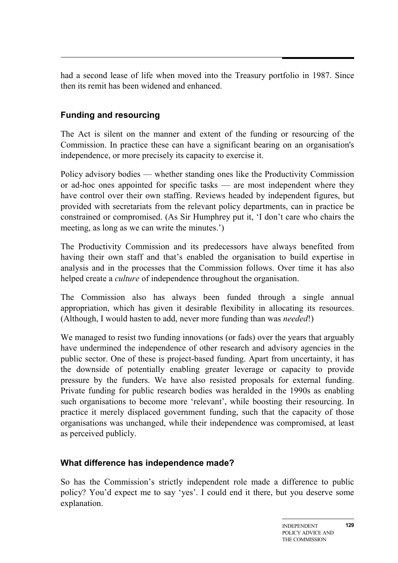had a second lease of life when moved into the Treasury portfolio in 1987. Since then its remit has been widened and enhanced.

# **Funding and resourcing**

The Act is silent on the manner and extent of the funding or resourcing of the Commission. In practice these can have a significant bearing on an organisation's independence, or more precisely its capacity to exercise it.

Policy advisory bodies — whether standing ones like the Productivity Commission or ad-hoc ones appointed for specific tasks — are most independent where they have control over their own staffing. Reviews headed by independent figures, but provided with secretariats from the relevant policy departments, can in practice be constrained or compromised. (As Sir Humphrey put it, 'I don't care who chairs the meeting, as long as we can write the minutes.')

The Productivity Commission and its predecessors have always benefited from having their own staff and that's enabled the organisation to build expertise in analysis and in the processes that the Commission follows. Over time it has also helped create a *culture* of independence throughout the organisation.

The Commission also has always been funded through a single annual appropriation, which has given it desirable flexibility in allocating its resources. (Although, I would hasten to add, never more funding than was *needed*!)

We managed to resist two funding innovations (or fads) over the years that arguably have undermined the independence of other research and advisory agencies in the public sector. One of these is project-based funding. Apart from uncertainty, it has the downside of potentially enabling greater leverage or capacity to provide pressure by the funders. We have also resisted proposals for external funding. Private funding for public research bodies was heralded in the 1990s as enabling such organisations to become more 'relevant', while boosting their resourcing. In practice it merely displaced government funding, such that the capacity of those organisations was unchanged, while their independence was compromised, at least as perceived publicly.

# **What difference has independence made?**

So has the Commission's strictly independent role made a difference to public policy? You'd expect me to say 'yes'. I could end it there, but you deserve some explanation.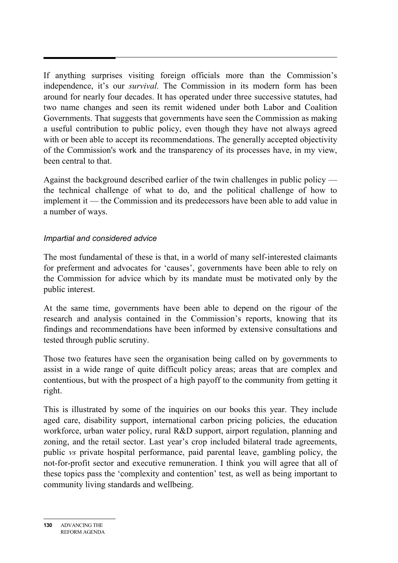If anything surprises visiting foreign officials more than the Commission's independence, it's our *survival.* The Commission in its modern form has been around for nearly four decades. It has operated under three successive statutes, had two name changes and seen its remit widened under both Labor and Coalition Governments. That suggests that governments have seen the Commission as making a useful contribution to public policy, even though they have not always agreed with or been able to accept its recommendations. The generally accepted objectivity of the Commission's work and the transparency of its processes have, in my view, been central to that.

Against the background described earlier of the twin challenges in public policy the technical challenge of what to do, and the political challenge of how to implement it — the Commission and its predecessors have been able to add value in a number of ways.

#### *Impartial and considered advice*

The most fundamental of these is that, in a world of many self-interested claimants for preferment and advocates for 'causes', governments have been able to rely on the Commission for advice which by its mandate must be motivated only by the public interest.

At the same time, governments have been able to depend on the rigour of the research and analysis contained in the Commission's reports, knowing that its findings and recommendations have been informed by extensive consultations and tested through public scrutiny.

Those two features have seen the organisation being called on by governments to assist in a wide range of quite difficult policy areas; areas that are complex and contentious, but with the prospect of a high payoff to the community from getting it right.

This is illustrated by some of the inquiries on our books this year. They include aged care, disability support, international carbon pricing policies, the education workforce, urban water policy, rural R&D support, airport regulation, planning and zoning, and the retail sector. Last year's crop included bilateral trade agreements, public *vs* private hospital performance, paid parental leave, gambling policy, the not-for-profit sector and executive remuneration. I think you will agree that all of these topics pass the 'complexity and contention' test, as well as being important to community living standards and wellbeing.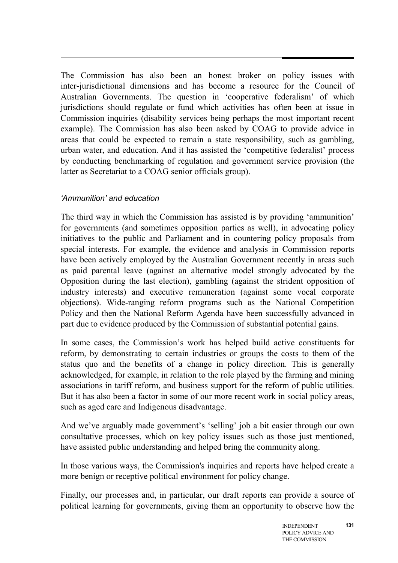The Commission has also been an honest broker on policy issues with inter-jurisdictional dimensions and has become a resource for the Council of Australian Governments. The question in 'cooperative federalism' of which jurisdictions should regulate or fund which activities has often been at issue in Commission inquiries (disability services being perhaps the most important recent example). The Commission has also been asked by COAG to provide advice in areas that could be expected to remain a state responsibility, such as gambling, urban water, and education. And it has assisted the 'competitive federalist' process by conducting benchmarking of regulation and government service provision (the latter as Secretariat to a COAG senior officials group).

# *'Ammunition' and education*

The third way in which the Commission has assisted is by providing 'ammunition' for governments (and sometimes opposition parties as well), in advocating policy initiatives to the public and Parliament and in countering policy proposals from special interests. For example, the evidence and analysis in Commission reports have been actively employed by the Australian Government recently in areas such as paid parental leave (against an alternative model strongly advocated by the Opposition during the last election), gambling (against the strident opposition of industry interests) and executive remuneration (against some vocal corporate objections). Wide-ranging reform programs such as the National Competition Policy and then the National Reform Agenda have been successfully advanced in part due to evidence produced by the Commission of substantial potential gains.

In some cases, the Commission's work has helped build active constituents for reform, by demonstrating to certain industries or groups the costs to them of the status quo and the benefits of a change in policy direction. This is generally acknowledged, for example, in relation to the role played by the farming and mining associations in tariff reform, and business support for the reform of public utilities. But it has also been a factor in some of our more recent work in social policy areas, such as aged care and Indigenous disadvantage.

And we've arguably made government's 'selling' job a bit easier through our own consultative processes, which on key policy issues such as those just mentioned, have assisted public understanding and helped bring the community along.

In those various ways, the Commission's inquiries and reports have helped create a more benign or receptive political environment for policy change.

Finally, our processes and, in particular, our draft reports can provide a source of political learning for governments, giving them an opportunity to observe how the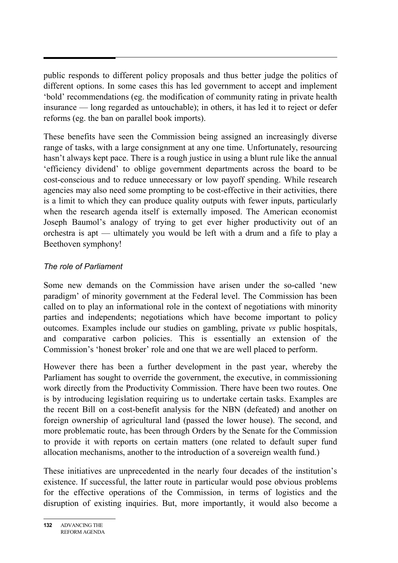public responds to different policy proposals and thus better judge the politics of different options. In some cases this has led government to accept and implement 'bold' recommendations (eg. the modification of community rating in private health insurance — long regarded as untouchable); in others, it has led it to reject or defer reforms (eg. the ban on parallel book imports).

These benefits have seen the Commission being assigned an increasingly diverse range of tasks, with a large consignment at any one time. Unfortunately, resourcing hasn't always kept pace. There is a rough justice in using a blunt rule like the annual 'efficiency dividend' to oblige government departments across the board to be cost-conscious and to reduce unnecessary or low payoff spending. While research agencies may also need some prompting to be cost-effective in their activities, there is a limit to which they can produce quality outputs with fewer inputs, particularly when the research agenda itself is externally imposed. The American economist Joseph Baumol's analogy of trying to get ever higher productivity out of an orchestra is apt — ultimately you would be left with a drum and a fife to play a Beethoven symphony!

# *The role of Parliament*

Some new demands on the Commission have arisen under the so-called 'new paradigm' of minority government at the Federal level. The Commission has been called on to play an informational role in the context of negotiations with minority parties and independents; negotiations which have become important to policy outcomes. Examples include our studies on gambling, private *vs* public hospitals, and comparative carbon policies. This is essentially an extension of the Commission's 'honest broker' role and one that we are well placed to perform.

However there has been a further development in the past year, whereby the Parliament has sought to override the government, the executive, in commissioning work directly from the Productivity Commission. There have been two routes. One is by introducing legislation requiring us to undertake certain tasks. Examples are the recent Bill on a cost-benefit analysis for the NBN (defeated) and another on foreign ownership of agricultural land (passed the lower house). The second, and more problematic route, has been through Orders by the Senate for the Commission to provide it with reports on certain matters (one related to default super fund allocation mechanisms, another to the introduction of a sovereign wealth fund.)

These initiatives are unprecedented in the nearly four decades of the institution's existence. If successful, the latter route in particular would pose obvious problems for the effective operations of the Commission, in terms of logistics and the disruption of existing inquiries. But, more importantly, it would also become a